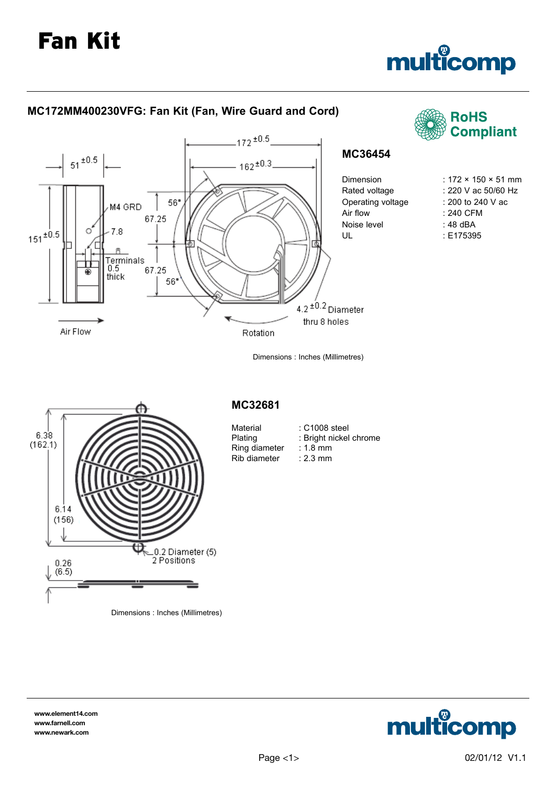# multicomp



**www.element14.com www.farnell.com www.newark.com**